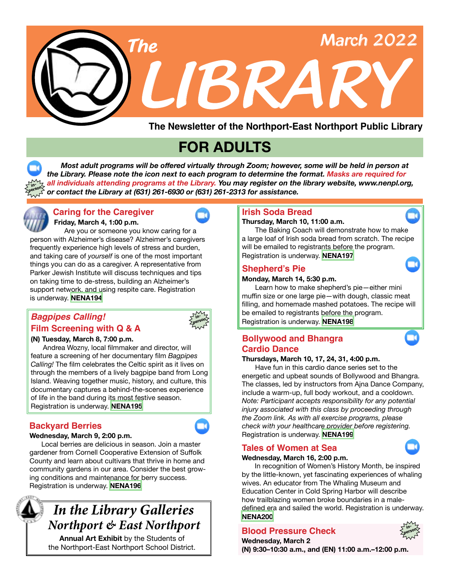

**The Newsletter of the Northport-East Northport Public Library**

# **FOR ADULTS**

 *Most adult programs will be offered virtually through Zoom; however, some will be held in person at the Library. Please note the icon next to each program to determine the format. Masks are required for all individuals attending programs at the Library. You may register on the library website, www.nenpl.org, or contact the Library at (631) 261-6930 or (631) 261-2313 for assistance.* **person**



**in-**

### **Friday, March 4, 1:00 p.m. Caring for the Caregiver Irish Soda Bread**

Are you or someone you know caring for a person with Alzheimer's disease? Alzheimer's caregivers frequently experience high levels of stress and burden, and taking care of *yourself* is one of the most important things you can do as a caregiver. A representative from Parker Jewish Institute will discuss techniques and tips on taking time to de-stress, building an Alzheimer's support network, and using respite care. Registration is underway. **[NENA194](https://www.nenpl.org/events/caring-caregiver-zoom)**

# *Bagpipes Calling!* **Film Screening with Q & A**



# **(N) Tuesday, March 8, 7:00 p.m.**

 Andrea Wozny, local filmmaker and director, will feature a screening of her documentary film *Bagpipes Calling!* The film celebrates the Celtic spirit as it lives on through the members of a lively bagpipe band from Long Island. Weaving together music, history, and culture, this documentary captures a behind-the-scenes experience of life in the band during its most festive season. Registration is underway. **[NENA195](https://www.nenpl.org/events/bagpipes-calling-film-screening-q-person)**

# **Backyard Berries**

### **Wednesday, March 9, 2:00 p.m.**

 Local berries are delicious in season. Join a master gardener from Cornell Cooperative Extension of Suffolk County and learn about cultivars that thrive in home and community gardens in our area. Consider the best growing conditions and maintenance for berry success. Registration is underway. **[NENA196](https://www.nenpl.org/events/backyard-berries-zoom)**



# *In the Library Galleries Northport & East Northport*

**Annual Art Exhibit** by the Students of the Northport-East Northport School District.

#### **Thursday, March 10, 11:00 a.m.**

The Baking Coach will demonstrate how to make a large loaf of Irish soda bread from scratch. The recipe will be emailed to registrants before the program. Registration is underway. **[NENA197](https://www.nenpl.org/events/irish-soda-bread-zoom)**

### **Shepherd's Pie**

### **Monday, March 14, 5:30 p.m.**

Learn how to make shepherd's pie—either mini muffin size or one large pie—with dough, classic meat filling, and homemade mashed potatoes. The recipe will be emailed to registrants before the program. Registration is underway. **[NENA198](https://www.nenpl.org/events/shepherds-pie-zoom)**

### **Bollywood and Bhangra Cardio Dance**

### **Thursdays, March 10, 17, 24, 31, 4:00 p.m.**

Have fun in this cardio dance series set to the energetic and upbeat sounds of Bollywood and Bhangra. The classes, led by instructors from Ajna Dance Company, include a warm-up, full body workout, and a cooldown. *Note: Participant accepts responsibility for any potential injury associated with this class by proceeding through the Zoom link. As with all exercise programs, please check with your healthcare provider before registering.*  Registration is underway. **[NENA199](https://www.nenpl.org/events/bollywood-and-bhangra-cardio-dance-zoom-2)**

# **Tales of Women at Sea**

### **Wednesday, March 16, 2:00 p.m.**

 In recognition of Women's History Month, be inspired by the little-known, yet fascinating experiences of whaling wives. An educator from The Whaling Museum and Education Center in Cold Spring Harbor will describe how trailblazing women broke boundaries in a maledefined era and sailed the world. Registration is underway. **[NENA200](https://www.nenpl.org/events/tales-women-sea-zoom)**

# **Blood Pressure Check in-**



**Wednesday, March 2 (N) 9:30–10:30 a.m., and (EN) 11:00 a.m.–12:00 p.m.**

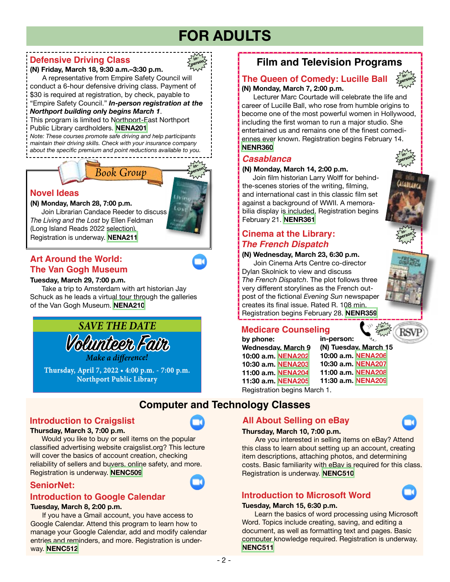# **FOR ADULTS**

**inperson**

### **Defensive Driving Class**

### **(N) Friday, March 18, 9:30 a.m.–3:30 p.m.**

 A representative from Empire Safety Council will conduct a 6-hour defensive driving class. Payment of \$30 is required at registration, by check, payable to "Empire Safety Council." *In-person registration at the* 

### *Northport building onl***y** *begins March 1*.

This program is limited to Northport-East Northport Public Library cardholders. **[NENA201](https://www.nenpl.org/events/defensive-driving-class-person-1)**

*Note: These courses promote safe driving and help participants maintain their driving skills. Check with your insurance company about the specific premium and point reductions available to you.*

# *Book Group*



**(N) Monday, March 28, 7:00 p.m.**

Join Librarian Candace Reeder to discuss *The Living and the Lost* by Ellen Feldman (Long Island Reads 2022 selection)*.* Registration is underway. **[NENA211](https://www.nenpl.org/events/novel-ideas-person-1)**

# **Art Around the World: The Van Gogh Museum**

### **Tuesday, March 29, 7:00 p.m.**

Take a trip to Amsterdam with art historian Jay Schuck as he leads a virtual tour through the galleries of the Van Gogh Museum. **[NENA210](https://www.nenpl.org/events/art-around-world-van-gogh-museum-zoom)**



**Thursday, April 7, 2022 • 4:00 p.m. - 7:00 p.m. Northport Public Library**

# **Introduction to Craigslist**

### **Thursday, March 3, 7:00 p.m.**

 Would you like to buy or sell items on the popular classified advertising website craigslist.org? This lecture will cover the basics of account creation, checking reliability of sellers and buyers, online safety, and more. Registration is underway. **[NENC509](https://www.nenpl.org/events/introduction-craigslist-zoom)**

# **SeniorNet:**

### **Introduction to Google Calendar**

### **Tuesday, March 8, 2:00 p.m.**

 If you have a Gmail account, you have access to Google Calendar. Attend this program to learn how to manage your Google Calendar, add and modify calendar entries and reminders, and more. Registration is underway. **[NENC512](https://www.nenpl.org/events/seniornet-introduction-google-calendar-zoom)**

# **Film and Television Programs**

### **(N) Monday, March 7, 2:00 p.m. The Queen of Comedy: Lucille Ball**



 Lecturer Marc Courtade will celebrate the life and career of Lucille Ball, who rose from humble origins to become one of the most powerful women in Hollywood, including the first woman to run a major studio. She entertained us and remains one of the finest comediennes ever known. Registration begins February 14. **[NENR360](https://www.nenpl.org/events/queen-comedy-lucille-ball-person-0)**

### *Casablanca*

### **(N) Monday, March 14, 2:00 p.m.**

 Join film historian Larry Wolff for behindthe-scenes stories of the writing, filming, and international cast in this classic film set against a background of WWII. A memorabilia display is included. Registration begins February 21. **[NENR361](https://www.nenpl.org/events/casablanca-person-0)**

# *The French Dispatch* **Cinema at the Library: in-**

### **(N) Wednesday, March 23, 6:30 p.m.** Join Cinema Arts Centre co-director Dylan Skolnick to view and discuss *The French Dispatch*. The plot follows three

very different storylines as the French outpost of the fictional *Evening Sun* newspaper creates its final issue. Rated R. 108 min. Registration begins February 28. **[NENR359](https://www.nenpl.org/events/cinema-library-french-dispatch-person-0)**



# **Medicare Counseling**

**by phone: Wednesday, March 9 10:00 a.m. [NENA202](https://www.nenpl.org/events/medicare-counseling-phone-7) 10:30 a.m. [NENA203](https://www.nenpl.org/events/medicare-counseling-phone-6) 11:00 a.m. [NENA204](https://www.nenpl.org/events/medicare-counseling-phone-5) 11:30 a.m. [NENA205](https://www.nenpl.org/events/medicare-counseling-phone-4)** Registration begins March 1.

**in-person: (N) Tuesday, March 15 10:00 a.m. [NENA206](https://www.nenpl.org/events/medicare-counseling-person-northport-1) 10:30 a.m. [NENA207](https://www.nenpl.org/events/medicare-counseling-person-northport-2) 11:00 a.m. [NENA208](https://www.nenpl.org/events/medicare-counseling-person-northport) 11:30 a.m. [NENA209](https://www.nenpl.org/events/medicare-counseling-person-northport-0)**

**Computer and Technology Classes**

# **All About Selling on eBay**



 Are you interested in selling items on eBay? Attend this class to learn about setting up an account, creating item descriptions, attaching photos, and determining costs. Basic familiarity with eBay is required for this class. Registration is underway. **[NENC510](https://www.nenpl.org/events/all-about-selling-ebay-zoom)**

# **Introduction to Microsoft Word**

### **Tuesday, March 15, 6:30 p.m.**

 Learn the basics of word processing using Microsoft Word. Topics include creating, saving, and editing a document, as well as formatting text and pages. Basic computer knowledge required. Registration is underway. **[NENC511](https://www.nenpl.org/events/introduction-microsoft-word-zoom)**



**person**

**inperson**





**inperson**

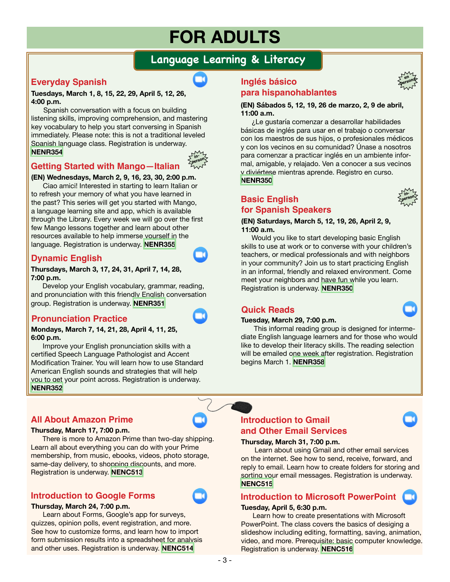# **FOR ADULTS**

# **Language Learning & Literacy**

## **Everyday Spanish**

### **Tuesdays, March 1, 8, 15, 22, 29, April 5, 12, 26, 4:00 p.m.**

Spanish conversation with a focus on building listening skills, improving comprehension, and mastering key vocabulary to help you start conversing in Spanish immediately. Please note: this is not a traditional leveled Spanish language class. Registration is underway. **[NENR354](https://www.nenpl.org/events/everyday-spanish-zoom-16)**



## **Getting Started with Mango—Italian**

### **(EN) Wednesdays, March 2, 9, 16, 23, 30, 2:00 p.m.**

Ciao amici! Interested in starting to learn Italian or to refresh your memory of what you have learned in the past? This series will get you started with Mango, a language learning site and app, which is available through the Library. Every week we will go over the first few Mango lessons together and learn about other resources available to help immerse yourself in the language. Registration is underway. **[NENR355](https://www.nenpl.org/events/getting-started-mango-italian-person)**

### **Dynamic English**

### **Thursdays, March 3, 17, 24, 31, April 7, 14, 28, 7:00 p.m.**

Develop your English vocabulary, grammar, reading, and pronunciation with this friendly English conversation group. Registration is underway. **[NENR351](https://www.nenpl.org/events/dynamic-english-zoom-9)**

### **Pronunciation Practice**

#### **Mondays, March 7, 14, 21, 28, April 4, 11, 25, 6:00 p.m.**

Improve your English pronunciation skills with a certified Speech Language Pathologist and Accent Modification Trainer. You will learn how to use Standard American English sounds and strategies that will help you to get your point across. Registration is underway. **[NENR352](https://www.nenpl.org/events/pronunciation-practice-zoom-14)**

### **All About Amazon Prime**

#### **Thursday, March 17, 7:00 p.m.**

 There is more to Amazon Prime than two-day shipping. Learn all about everything you can do with your Prime membership, from music, ebooks, videos, photo storage, same-day delivery, to shopping discounts, and more. Registration is underway. **[NENC513](https://www.nenpl.org/events/all-about-amazon-prime-zoom)**

### **Introduction to Google Forms**

### **Thursday, March 24, 7:00 p.m.**

 Learn about Forms, Google's app for surveys, quizzes, opinion polls, event registration, and more. See how to customize forms, and learn how to import form submission results into a spreadsheet for analysis and other uses. Registration is underway. **[NENC514](https://www.nenpl.org/events/introduction-google-forms-zoom)**

### **Inglés básico para hispanohablantes**

**(EN) Sábados 5, 12, 19, 26 de marzo, 2, 9 de abril, 11:00 a.m.**

 ¿Le gustaría comenzar a desarrollar habilidades básicas de inglés para usar en el trabajo o conversar con los maestros de sus hijos, o profesionales médicos y con los vecinos en su comunidad? Únase a nosotros para comenzar a practicar inglés en un ambiente informal, amigable, y relajado. Ven a conocer a sus vecinos y diviértese mientras aprende. Registro en curso. **[NENR350](https://www.nenpl.org/events/ingles-basico-para-hispanohablantes-en-persona-basic-english-spanish-speakers-person-2)**

### **Basic English for Spanish Speakers**

#### **(EN) Saturdays, March 5, 12, 19, 26, April 2, 9, 11:00 a.m.**

 Would you like to start developing basic English skills to use at work or to converse with your children's teachers, or medical professionals and with neighbors in your community? Join us to start practicing English in an informal, friendly and relaxed environment. Come meet your neighbors and have fun while you learn. Registration is underway. **[NENR350](https://www.nenpl.org/events/ingles-basico-para-hispanohablantes-en-persona-basic-english-spanish-speakers-person-2)**

### **Quick Reads**

### **Tuesday, March 29, 7:00 p.m.**

This informal reading group is designed for intermediate English language learners and for those who would like to develop their literacy skills. The reading selection will be emailed one week after registration. Registration begins March 1. **[NENR358](https://www.nenpl.org/events/quick-reads-zoom-1)**

### **Introduction to Gmail and Other Email Services**

### **Thursday, March 31, 7:00 p.m.**

 Learn about using Gmail and other email services on the internet. See how to send, receive, forward, and reply to email. Learn how to create folders for storing and sorting your email messages. Registration is underway. **[NENC515](https://www.nenpl.org/events/introduction-gmail-and-other-email-services-zoom)**

### **Introduction to Microsoft PowerPoint**

### **Tuesday, April 5, 6:30 p.m.**

 Learn how to create presentations with Microsoft PowerPoint. The class covers the basics of desiging a slideshow including editing, formatting, saving, animation, video, and more. Prerequisite: basic computer knowledge. Registration is underway. **[NENC516](https://www.nenpl.org/events/introduction-microsoft-powerpoint-zoom)**



**en** persona<sup>®</sup>

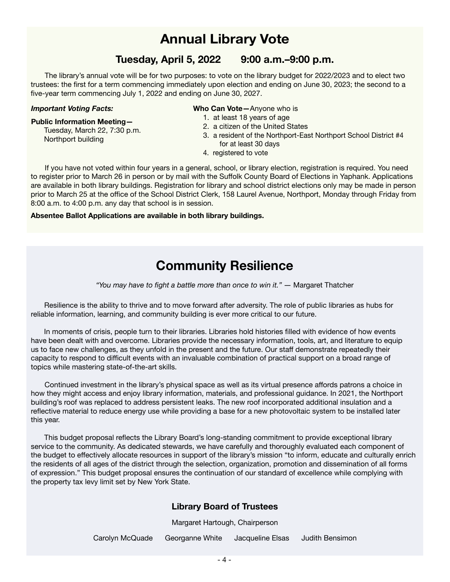# **Annual Library Vote**

# **Tuesday, April 5, 2022 9:00 a.m.–9:00 p.m.**

 The library's annual vote will be for two purposes: to vote on the library budget for 2022/2023 and to elect two trustees: the first for a term commencing immediately upon election and ending on June 30, 2023; the second to a five-year term commencing July 1, 2022 and ending on June 30, 2027.

### *Important Voting Facts:*

Northport building

#### **Public Information Meeting—**

Tuesday, March 22, 7:30 p.m.

**Who Can Vote—**Anyone who is

- 1. at least 18 years of age
- 2. a citizen of the United States
- 3. a resident of the Northport-East Northport School District #4 for at least 30 days
- 4. registered to vote

 If you have not voted within four years in a general, school, or library election, registration is required. You need to register prior to March 26 in person or by mail with the Suffolk County Board of Elections in Yaphank. Applications are available in both library buildings. Registration for library and school district elections only may be made in person prior to March 25 at the office of the School District Clerk, 158 Laurel Avenue, Northport, Monday through Friday from 8:00 a.m. to 4:00 p.m. any day that school is in session.

### **Absentee Ballot Applications are available in both library buildings.**

# **Community Resilience**

*"You may have to fight a battle more than once to win it."* ― Margaret Thatcher

 Resilience is the ability to thrive and to move forward after adversity. The role of public libraries as hubs for reliable information, learning, and community building is ever more critical to our future.

us to face new challenges, as they unfold in the present and the future. Our staff demonstrate repeatedly their **Language**  capacity to respond to difficult events with an invaluable combination of practical support on a broad range of **Learning** In moments of crisis, people turn to their libraries. Libraries hold histories filled with evidence of how events have been dealt with and overcome. Libraries provide the necessary information, tools, art, and literature to equip topics while mastering state-of-the-art skills.

 Continued investment in the library's physical space as well as its virtual presence affords patrons a choice in how they might access and enjoy library information, materials, and professional guidance. In 2021, the Northport building's roof was replaced to address persistent leaks. The new roof incorporated additional insulation and a reflective material to reduce energy use while providing a base for a new photovoltaic system to be installed later this year.

 This budget proposal reflects the Library Board's long-standing commitment to provide exceptional library service to the community. As dedicated stewards, we have carefully and thoroughly evaluated each component of the budget to effectively allocate resources in support of the library's mission "to inform, educate and culturally enrich the residents of all ages of the district through the selection, organization, promotion and dissemination of all forms of expression." This budget proposal ensures the continuation of our standard of excellence while complying with the property tax levy limit set by New York State.

### **Library Board of Trustees**

Margaret Hartough, Chairperson

Carolyn McQuade Georganne White Jacqueline Elsas Judith Bensimon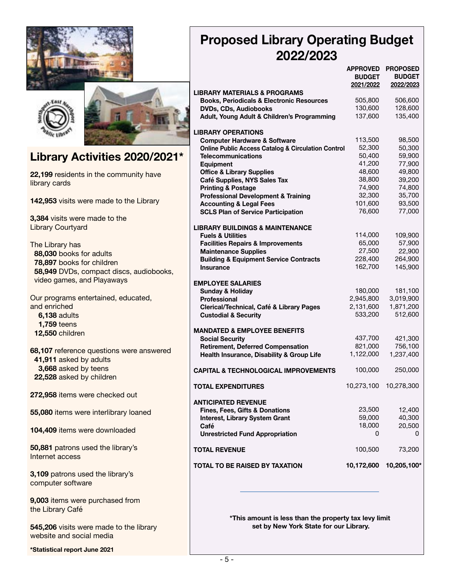





# **Library Activities 2020/2021\***

**22,199** residents in the community have library cards

**142,953** visits were made to the Library

**3,384** visits were made to the Library Courtyard

The Library has  **88,030** books for adults  **78,897** books for children  **58,949** DVDs, compact discs, audiobooks, video games, and Playaways

Our programs entertained, educated, and enriched  **6,138** adults  **1,759** teens  **12,550** children

**68,107** reference questions were answered  **41,911** asked by adults  **3,668** asked by teens  **22,528** asked by children

**272,958** items were checked out

**55,080** items were interlibrary loaned

**104,409** items were downloaded

**50,881** patrons used the library's Internet access

**3,109** patrons used the library's computer software

**9,003** items were purchased from the Library Café

**545,206** visits were made to the library website and social media

**\*Statistical report June 2021**

# **Proposed Library Operating Budget 2022/2023**

|                                                               | <b>APPROVED</b><br><b>BUDGET</b><br>2021/2022 | <b>PROPOSED</b><br><b>BUDGET</b><br>2022/2023 |
|---------------------------------------------------------------|-----------------------------------------------|-----------------------------------------------|
| <b>LIBRARY MATERIALS &amp; PROGRAMS</b>                       |                                               |                                               |
| <b>Books, Periodicals &amp; Electronic Resources</b>          | 505,800                                       | 506,600                                       |
| <b>DVDs, CDs, Audiobooks</b>                                  | 130,600                                       | 128,600                                       |
| Adult, Young Adult & Children's Programming                   | 137,600                                       | 135,400                                       |
|                                                               |                                               |                                               |
| <b>LIBRARY OPERATIONS</b>                                     |                                               |                                               |
| <b>Computer Hardware &amp; Software</b>                       | 113,500                                       | 98,500                                        |
| <b>Online Public Access Catalog &amp; Circulation Control</b> | 52,300                                        | 50,300                                        |
| <b>Telecommunications</b>                                     | 50,400                                        | 59,900                                        |
| <b>Equipment</b>                                              | 41,200                                        | 77,900                                        |
| <b>Office &amp; Library Supplies</b>                          | 48,600                                        | 49,800                                        |
| Café Supplies, NYS Sales Tax                                  | 38,800                                        | 39,200                                        |
| <b>Printing &amp; Postage</b>                                 | 74,900                                        | 74,800                                        |
| <b>Professional Development &amp; Training</b>                | 32,300                                        | 35,700                                        |
| <b>Accounting &amp; Legal Fees</b>                            | 101,600                                       | 93,500                                        |
| <b>SCLS Plan of Service Participation</b>                     | 76,600                                        | 77,000                                        |
|                                                               |                                               |                                               |
| <b>LIBRARY BUILDINGS &amp; MAINTENANCE</b>                    |                                               |                                               |
| <b>Fuels &amp; Utilities</b>                                  | 114,000<br>65,000                             | 109,900                                       |
| <b>Facilities Repairs &amp; Improvements</b>                  |                                               | 57,900                                        |
| <b>Maintenance Supplies</b>                                   | 27,500                                        | 22,900                                        |
| <b>Building &amp; Equipment Service Contracts</b>             | 228,400                                       | 264,900                                       |
| Insurance                                                     | 162,700                                       | 145,900                                       |
| <b>EMPLOYEE SALARIES</b>                                      |                                               |                                               |
| <b>Sunday &amp; Holiday</b>                                   | 180,000                                       | 181,100                                       |
| <b>Professional</b>                                           | 2,945,800                                     | 3,019,900                                     |
| Clerical/Technical, Café & Library Pages                      | 2,131,600                                     | 1,871,200                                     |
| <b>Custodial &amp; Security</b>                               | 533,200                                       | 512,600                                       |
|                                                               |                                               |                                               |
| <b>MANDATED &amp; EMPLOYEE BENEFITS</b>                       |                                               |                                               |
| <b>Social Security</b>                                        | 437,700                                       | 421,300                                       |
| <b>Retirement, Deferred Compensation</b>                      | 821,000                                       | 756,100                                       |
| Health Insurance, Disability & Group Life                     | 1,122,000                                     | 1,237,400                                     |
|                                                               |                                               |                                               |
| <b>CAPITAL &amp; TECHNOLOGICAL IMPROVEMENTS</b>               | 100,000                                       | 250,000                                       |
|                                                               | 10,273,100                                    | 10,278,300                                    |
| TOTAL EXPENDITURES                                            |                                               |                                               |
| <b>ANTICIPATED REVENUE</b>                                    |                                               |                                               |
| <b>Fines, Fees, Gifts &amp; Donations</b>                     | 23,500                                        | 12,400                                        |
| Interest, Library System Grant                                | 59,000                                        | 40,300                                        |
| Café                                                          | 18,000                                        | 20,500                                        |
| <b>Unrestricted Fund Appropriation</b>                        | 0                                             | 0                                             |
|                                                               |                                               |                                               |
| <b>TOTAL REVENUE</b>                                          | 100,500                                       | 73,200                                        |
|                                                               |                                               |                                               |
| TOTAL TO BE RAISED BY TAXATION                                | 10,172,600                                    | 10,205,100*                                   |
|                                                               |                                               |                                               |

 **\*This amount is less than the property tax levy limit set by New York State for our Library.**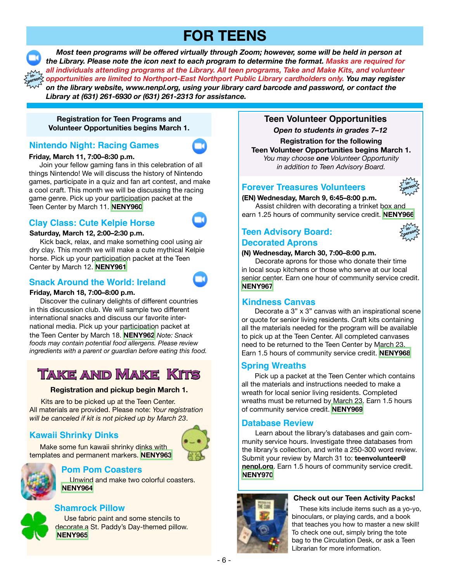# **FOR TEENS**



 *Most teen programs will be offered virtually through Zoom; however, some will be held in person at the Library. Please note the icon next to each program to determine the format. Masks are required for all individuals attending programs at the Library. All teen programs, Take and Make Kits, and volunteer opportunities are limited to Northport-East Northport Public Library cardholders only. You may register on the library website, www.nenpl.org, using your library card barcode and password, or contact the Library at (631) 261-6930 or (631) 261-2313 for assistance.*

**Registration for Teen Programs and Volunteer Opportunities begins March 1.**

## **Nintendo Night: Racing Games**

### **Friday, March 11, 7:00–8:30 p.m.**

 Join your fellow gaming fans in this celebration of all things Nintendo! We will discuss the history of Nintendo games, participate in a quiz and fan art contest, and make a cool craft. This month we will be discussing the racing game genre. Pick up your participation packet at the Teen Center by March 11. **[NENY960](https://www.nenpl.org/events/nintendo-night-racing-games-zoom)**

## **Clay Class: Cute Kelpie Horse**



 Kick back, relax, and make something cool using air dry clay. This month we will make a cute mythical Kelpie horse. Pick up your participation packet at the Teen Center by March 12. **[NENY961](https://www.nenpl.org/events/clay-class-cute-kelpie-horse-zoom)**

### **Snack Around the World: Ireland**

### **Friday, March 18, 7:00–8:00 p.m.**

Discover the culinary delights of different countries in this discussion club. We will sample two different international snacks and discuss our favorite international media. Pick up your participation packet at the Teen Center by March 18. **[NENY962](https://www.nenpl.org/events/snack-around-world-ireland-zoom)** *Note: Snack foods may contain potential food allergens. Please review ingredients with a parent or guardian before eating this food.*

# **Take and Make Kits**

### **Registration and pickup begin March 1.**

 Kits are to be picked up at the Teen Center. All materials are provided. Please note: *Your registration will be canceled if kit is not picked up by March 23*.

# **Kawaii Shrinky Dinks**



### Make some fun kawaii shrinky dinks with templates and permanent markers. **[NENY963](https://www.nenpl.org/events/kawaii-shrinky-dinks-take-and-make)**



### **Pom Pom Coasters**

 Unwind and make two colorful coasters. **[NENY964](https://www.nenpl.org/events/pom-pom-coasters-take-and-make)**

# **Shamrock Pillow**

 Use fabric paint and some stencils to decorate a St. Paddy's Day-themed pillow. **[NENY965](https://www.nenpl.org/events/shamrock-pillow-take-and-make)**

## **Teen Volunteer Opportunities**

*Open to students in grades 7–12*

**Registration for the following Teen Volunteer Opportunities begins March 1.** *You may choose one Volunteer Opportunity in addition to Teen Advisory Board.*

### **Forever Treasures Volunteers**



**(EN) Wednesday, March 9, 6:45–8:00 p.m.**

 Assist children with decorating a trinket box and earn 1.25 hours of community service credit. **[NENY966](https://www.nenpl.org/events/forever-treasures-volunteers)**

# **Teen Advisory Board: Decorated Aprons**



### **(N) Wednesday, March 30, 7:00–8:00 p.m.**

 Decorate aprons for those who donate their time in local soup kitchens or those who serve at our local senior center. Earn one hour of community service credit. **[NENY967](https://www.nenpl.org/events/teen-advisory-board-decorated-aprons-person)**

### **Kindness Canvas**

Decorate a 3" x 3" canvas with an inspirational scene or quote for senior living residents. Craft kits containing all the materials needed for the program will be available to pick up at the Teen Center. All completed canvases need to be returned to the Teen Center by March 23. Earn 1.5 hours of community service credit. **[NENY968](https://www.nenpl.org/events/kindness-canvas)**

### **Spring Wreaths**

Pick up a packet at the Teen Center which contains all the materials and instructions needed to make a wreath for local senior living residents. Completed wreaths must be returned by March 23. Earn 1.5 hours of community service credit. **[NENY969](https://www.nenpl.org/events/spring-wreaths)**

### **Database Review**

Learn about the library's databases and gain community service hours. Investigate three databases from the library's collection, and write a 250-300 word review. Submit your review by March 31 to: **teenvolunteer@ nenpl.org**. Earn 1.5 hours of community service credit. **[NENY970](https://www.nenpl.org/events/database-review)**



### **Check out our Teen Activity Packs!**

 These kits include items such as a yo-yo, binoculars, or playing cards, and a book that teaches you how to master a new skill! To check one out, simply bring the tote bag to the Circulation Desk, or ask a Teen Librarian for more information.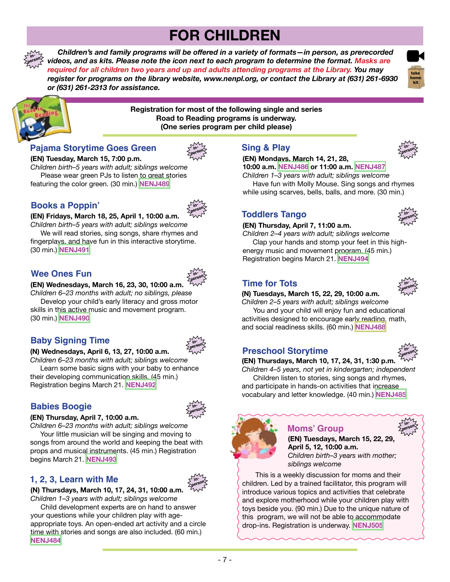# **FOR CHILDREN**

 *Children's and family programs will be offered in a variety of formats—in person, as prerecorded videos, and as kits. Please note the icon next to each program to determine the format. Masks are required for all children two years and up and adults attending programs at the Library. You may register for programs on the library website, www.nenpl.org, or contact the Library at (631) 261-6930 or (631) 261-2313 for assistance.* **person**





**in-**

**Registration for most of the following single and series Road to Reading programs is underway. (One series program per child please)**

## **Pajama Storytime Goes Green**



**(EN) Tuesday, March 15, 7:00 p.m.**  *Children birth–5 years with adult; siblings welcome* Please wear green PJs to listen to great stories featuring the color green. (30 min.) **[NENJ489](https://www.nenpl.org/events/pajama-storytime-goes-green-person)**

# **Books a Poppin'**



**(EN) Fridays, March 18, 25, April 1, 10:00 a.m.**  *Children birth–5 years with adult; siblings welcome*

 We will read stories, sing songs, share rhymes and fingerplays, and have fun in this interactive storytime. (30 min.) **[NENJ491](https://www.nenpl.org/events/books-poppin-person-4)**

## **Wee Ones Fun**



### **(EN) Wednesdays, March 16, 23, 30, 10:00 a.m.**

*Children 6–23 months with adult; no siblings, please* Develop your child's early literacy and gross motor skills in this active music and movement program. (30 min.) **[NENJ490](https://www.nenpl.org/events/wee-ones-fun-person-1)**

# **Baby Signing Time**



### **(N) Wednesdays, April 6, 13, 27, 10:00 a.m.**

*Children 6–23 months with adult; siblings welcome* Learn some basic signs with your baby to enhance their developing communication skills. (45 min.) Registration begins March 21. **[NENJ492](https://www.nenpl.org/events/baby-signing-time-1)**

# **Babies Boogie**



### **(EN) Thursday, April 7, 10:00 a.m.**

*Children 6–23 months with adult; siblings welcome* Your little musician will be singing and moving to songs from around the world and keeping the beat with props and musical instruments. (45 min.) Registration

# **1, 2, 3, Learn with Me**

begins March 21. **[NENJ493](https://www.nenpl.org/events/babies-boogie-person-0)**



**(N) Thursdays, March 10, 17, 24, 31, 10:00 a.m.**  *Children 1–3 years with adult; siblings welcome*

 Child development experts are on hand to answer your questions while your children play with ageappropriate toys. An open-ended art activity and a circle time with stories and songs are also included. (60 min.) **[NENJ484](https://www.nenpl.org/events/1-2-3-learn-me-person-6)**

# **Sing & Play**

### **(EN) Mondays, March 14, 21, 28,**



**inperson**

**10:00 a.m. [NENJ486](https://www.nenpl.org/events/sing-play-person-19) or 11:00 a.m. [NENJ487](https://www.nenpl.org/events/sing-play-person-22)** *Children 1–3 years with adult; siblings welcome* Have fun with Molly Mouse. Sing songs and rhymes

while using scarves, bells, balls, and more. (30 min.)

# **Toddlers Tango**

### **(EN) Thursday, April 7, 11:00 a.m.**

*Children 2–4 years with adult; siblings welcome* Clap your hands and stomp your feet in this highenergy music and movement program. (45 min.) Registration begins March 21. **[NENJ494](https://www.nenpl.org/events/toddlers-tango-person-0)**

# **Time for Tots**

**(N) Tuesdays, March 15, 22, 29, 10:00 a.m.** 

*Children 2–5 years with adult; siblings welcome* You and your child will enjoy fun and educational activities designed to encourage early reading, math, and social readiness skills. (60 min.) **[NENJ488](https://www.nenpl.org/events/time-tots-person-10)**

# **Preschool Storytime**



**inperson**

**inperson**

**(EN) Thursdays, March 10, 17, 24, 31, 1:30 p.m.**  *Children 4–5 years, not yet in kindergarten; independent* Children listen to stories, sing songs and rhymes, and participate in hands-on activities that increase

vocabulary and letter knowledge. (40 min.) **[NENJ485](https://www.nenpl.org/events/preschool-storytime-person-2)**

### **Moms' Group**

**(EN) Tuesdays, March 15, 22, 29, April 5, 12, 10:00 a.m.** *Children birth–3 years with mother; siblings welcome*

This is a weekly discussion for moms and their children. Led by a trained facilitator, this program will introduce various topics and activities that celebrate and explore motherhood while your children play with toys beside you. (90 min.) Due to the unique nature of this program, we will not be able to accommodate drop-ins. Registration is underway. **[NENJ505](https://www.nenpl.org/events/moms-group-3)**